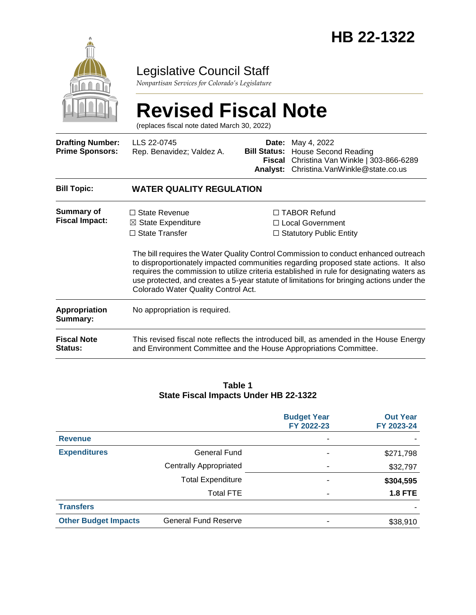

## Legislative Council Staff

*Nonpartisan Services for Colorado's Legislature*

# **Revised Fiscal Note**

(replaces fiscal note dated March 30, 2022)

| <b>Drafting Number:</b><br><b>Prime Sponsors:</b> | LLS 22-0745<br>Rep. Benavidez; Valdez A.                                                                                                                                                                                                                                                                              |  | <b>Date:</b> May 4, 2022<br><b>Bill Status: House Second Reading</b><br>Fiscal Christina Van Winkle   303-866-6289<br>Analyst: Christina.VanWinkle@state.co.us          |  |  |
|---------------------------------------------------|-----------------------------------------------------------------------------------------------------------------------------------------------------------------------------------------------------------------------------------------------------------------------------------------------------------------------|--|-------------------------------------------------------------------------------------------------------------------------------------------------------------------------|--|--|
| <b>Bill Topic:</b>                                | <b>WATER QUALITY REGULATION</b>                                                                                                                                                                                                                                                                                       |  |                                                                                                                                                                         |  |  |
| <b>Summary of</b><br><b>Fiscal Impact:</b>        | $\Box$ State Revenue<br>$\boxtimes$ State Expenditure<br>$\Box$ State Transfer                                                                                                                                                                                                                                        |  | $\Box$ TABOR Refund<br>$\Box$ Local Government<br>$\Box$ Statutory Public Entity<br>The bill requires the Water Quality Control Commission to conduct enhanced outreach |  |  |
|                                                   | to disproportionately impacted communities regarding proposed state actions. It also<br>requires the commission to utilize criteria established in rule for designating waters as<br>use protected, and creates a 5-year statute of limitations for bringing actions under the<br>Colorado Water Quality Control Act. |  |                                                                                                                                                                         |  |  |
| <b>Appropriation</b><br>Summary:                  | No appropriation is required.                                                                                                                                                                                                                                                                                         |  |                                                                                                                                                                         |  |  |
| <b>Fiscal Note</b><br><b>Status:</b>              | This revised fiscal note reflects the introduced bill, as amended in the House Energy<br>and Environment Committee and the House Appropriations Committee.                                                                                                                                                            |  |                                                                                                                                                                         |  |  |

#### **Table 1 State Fiscal Impacts Under HB 22-1322**

|                             |                               | <b>Budget Year</b><br>FY 2022-23 | <b>Out Year</b><br>FY 2023-24 |
|-----------------------------|-------------------------------|----------------------------------|-------------------------------|
| <b>Revenue</b>              |                               |                                  |                               |
| <b>Expenditures</b>         | General Fund                  |                                  | \$271,798                     |
|                             | <b>Centrally Appropriated</b> |                                  | \$32,797                      |
|                             | <b>Total Expenditure</b>      |                                  | \$304,595                     |
|                             | <b>Total FTE</b>              | -                                | <b>1.8 FTE</b>                |
| <b>Transfers</b>            |                               |                                  |                               |
| <b>Other Budget Impacts</b> | <b>General Fund Reserve</b>   |                                  | \$38,910                      |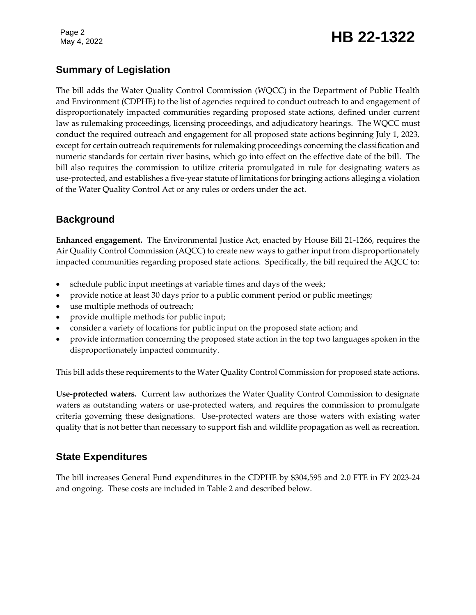# Page 2<br>May 4, 2022 **HB 22-1322**

### **Summary of Legislation**

The bill adds the Water Quality Control Commission (WQCC) in the Department of Public Health and Environment (CDPHE) to the list of agencies required to conduct outreach to and engagement of disproportionately impacted communities regarding proposed state actions, defined under current law as rulemaking proceedings, licensing proceedings, and adjudicatory hearings. The WQCC must conduct the required outreach and engagement for all proposed state actions beginning July 1, 2023, except for certain outreach requirements for rulemaking proceedings concerning the classification and numeric standards for certain river basins, which go into effect on the effective date of the bill. The bill also requires the commission to utilize criteria promulgated in rule for designating waters as use-protected, and establishes a five-year statute of limitations for bringing actions alleging a violation of the Water Quality Control Act or any rules or orders under the act.

### **Background**

**Enhanced engagement.** The Environmental Justice Act, enacted by House Bill 21-1266, requires the Air Quality Control Commission (AQCC) to create new ways to gather input from disproportionately impacted communities regarding proposed state actions. Specifically, the bill required the AQCC to:

- schedule public input meetings at variable times and days of the week;
- provide notice at least 30 days prior to a public comment period or public meetings;
- use multiple methods of outreach;
- provide multiple methods for public input;
- consider a variety of locations for public input on the proposed state action; and
- provide information concerning the proposed state action in the top two languages spoken in the disproportionately impacted community.

This bill adds these requirements to the Water Quality Control Commission for proposed state actions.

**Use-protected waters.** Current law authorizes the Water Quality Control Commission to designate waters as outstanding waters or use-protected waters, and requires the commission to promulgate criteria governing these designations. Use-protected waters are those waters with existing water quality that is not better than necessary to support fish and wildlife propagation as well as recreation.

### **State Expenditures**

The bill increases General Fund expenditures in the CDPHE by \$304,595 and 2.0 FTE in FY 2023-24 and ongoing. These costs are included in Table 2 and described below.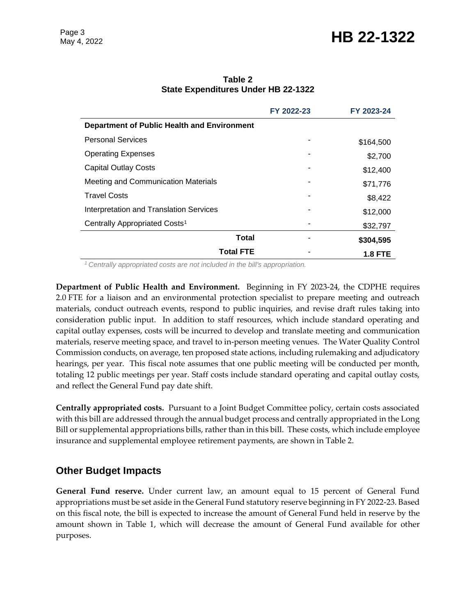# Page 3<br>May 4, 2022 **HB 22-1322**

|                                             | FY 2022-23 | FY 2023-24     |
|---------------------------------------------|------------|----------------|
| Department of Public Health and Environment |            |                |
| <b>Personal Services</b>                    |            | \$164,500      |
| <b>Operating Expenses</b>                   |            | \$2,700        |
| <b>Capital Outlay Costs</b>                 |            | \$12,400       |
| Meeting and Communication Materials         |            | \$71,776       |
| <b>Travel Costs</b>                         |            | \$8,422        |
| Interpretation and Translation Services     |            | \$12,000       |
| Centrally Appropriated Costs <sup>1</sup>   |            | \$32,797       |
| <b>Total</b>                                |            | \$304,595      |
| <b>Total FTE</b>                            |            | <b>1.8 FTE</b> |

**Table 2 State Expenditures Under HB 22-1322**

*<sup>1</sup>Centrally appropriated costs are not included in the bill's appropriation.*

**Department of Public Health and Environment.** Beginning in FY 2023-24, the CDPHE requires 2.0 FTE for a liaison and an environmental protection specialist to prepare meeting and outreach materials, conduct outreach events, respond to public inquiries, and revise draft rules taking into consideration public input. In addition to staff resources, which include standard operating and capital outlay expenses, costs will be incurred to develop and translate meeting and communication materials, reserve meeting space, and travel to in-person meeting venues. The Water Quality Control Commission conducts, on average, ten proposed state actions, including rulemaking and adjudicatory hearings, per year. This fiscal note assumes that one public meeting will be conducted per month, totaling 12 public meetings per year. Staff costs include standard operating and capital outlay costs, and reflect the General Fund pay date shift.

**Centrally appropriated costs.** Pursuant to a Joint Budget Committee policy, certain costs associated with this bill are addressed through the annual budget process and centrally appropriated in the Long Bill or supplemental appropriations bills, rather than in this bill. These costs, which include employee insurance and supplemental employee retirement payments, are shown in Table 2.

#### **Other Budget Impacts**

**General Fund reserve.** Under current law, an amount equal to 15 percent of General Fund appropriations must be set aside in the General Fund statutory reserve beginning in FY 2022-23. Based on this fiscal note, the bill is expected to increase the amount of General Fund held in reserve by the amount shown in Table 1, which will decrease the amount of General Fund available for other purposes.